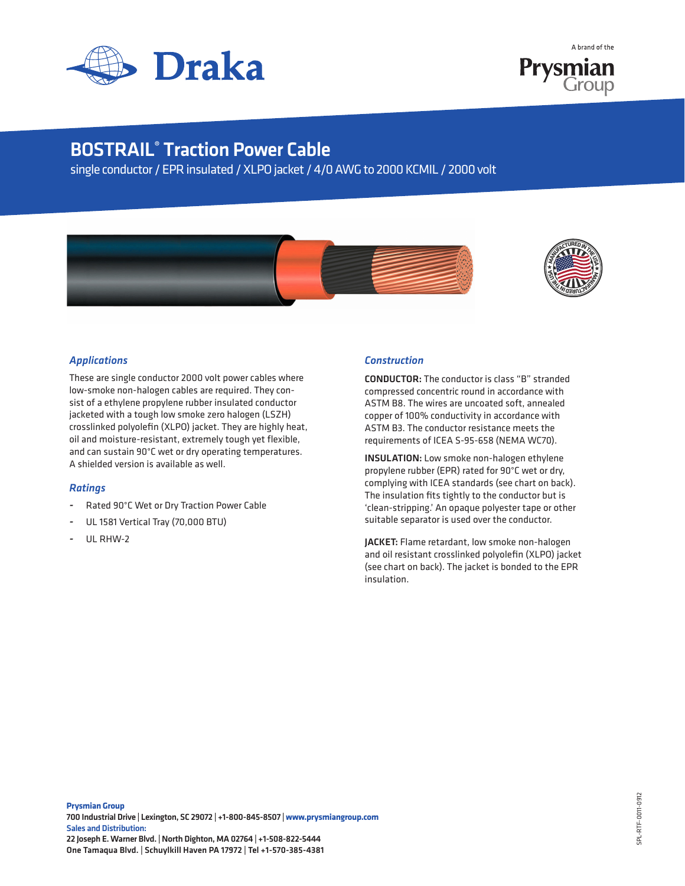

A hrand of the **Prysmian**<br>Group

## BOSTRAIL® Traction Power Cable

single conductor / EPR insulated / XLPO jacket / 4/0 AWG to 2000 KCMIL / 2000 volt





## *Applications*

These are single conductor 2000 volt power cables where low-smoke non-halogen cables are required. They consist of a ethylene propylene rubber insulated conductor jacketed with a tough low smoke zero halogen (LSZH) crosslinked polyolefin (XLPO) jacket. They are highly heat, oil and moisture-resistant, extremely tough yet flexible, and can sustain 90°C wet or dry operating temperatures. A shielded version is available as well.

## *Ratings*

- Rated 90°C Wet or Dry Traction Power Cable
- UL 1581 Vertical Tray (70,000 BTU)
- UL RHW-2

## *Construction*

CONDUCTOR: The conductor is class "B" stranded compressed concentric round in accordance with ASTM B8. The wires are uncoated soft, annealed copper of 100% conductivity in accordance with ASTM B3. The conductor resistance meets the requirements of ICEA S-95-658 (NEMA WC70).

INSULATION: Low smoke non-halogen ethylene propylene rubber (EPR) rated for 90°C wet or dry, complying with ICEA standards (see chart on back). The insulation fits tightly to the conductor but is 'clean-stripping.' An opaque polyester tape or other suitable separator is used over the conductor.

JACKET: Flame retardant, low smoke non-halogen and oil resistant crosslinked polyolefin (XLPO) jacket (see chart on back). The jacket is bonded to the EPR insulation.